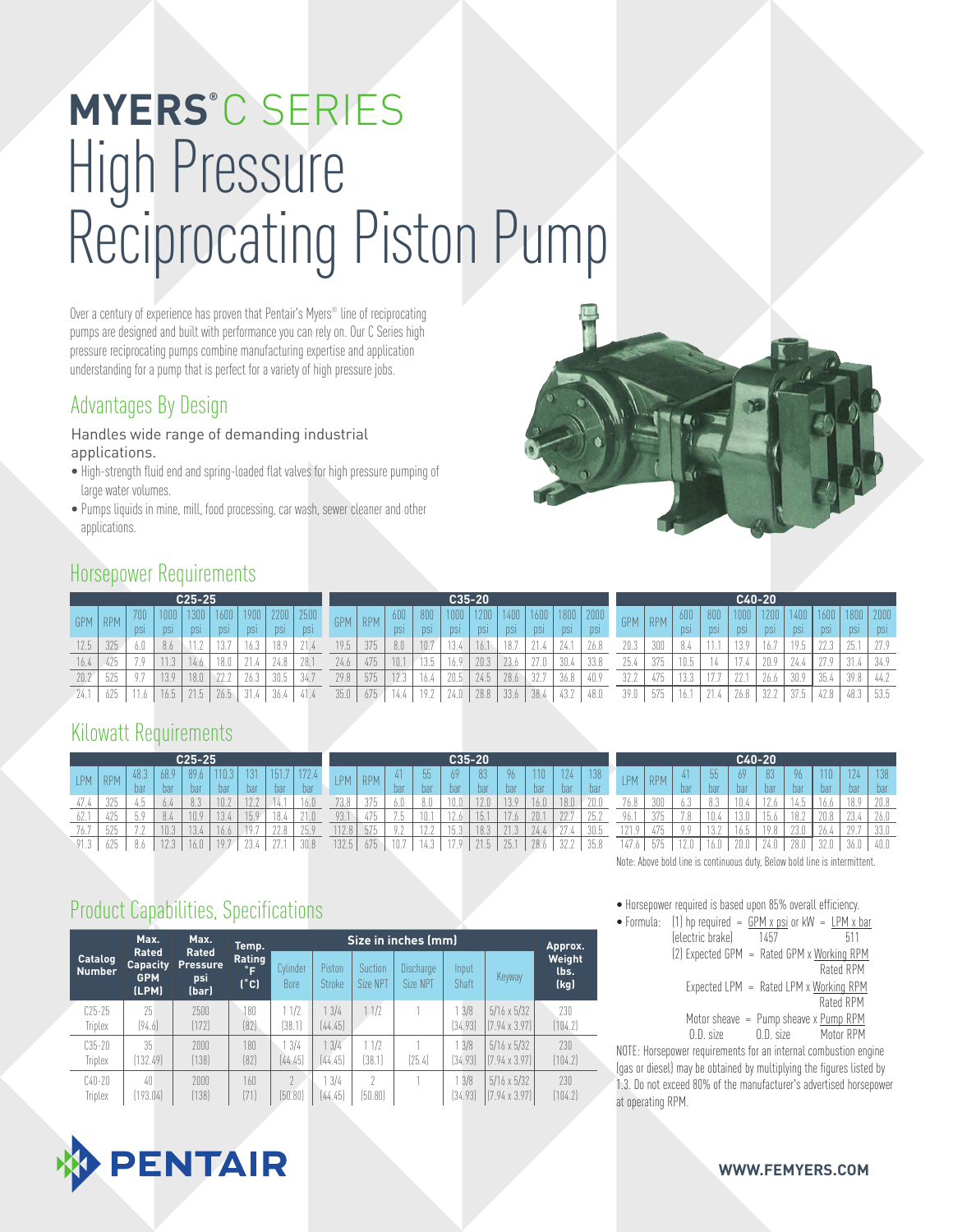# High Pressure Reciprocating Piston Pump **MYERS®** C SERIES

Over a century of experience has proven that Pentair's Myers® line of reciprocating pumps are designed and built with performance you can rely on. Our C Series high pressure reciprocating pumps combine manufacturing expertise and application understanding for a pump that is perfect for a variety of high pressure jobs.

#### Advantages By Design

#### Handles wide range of demanding industrial applications.

- High-strength fluid end and spring-loaded flat valves for high pressure pumping of large water volumes.
- Pumps liquids in mine, mill, food processing, car wash, sewer cleaner and other applications.

#### Horsepower Requirements

| $C25-25$   |      |              |     |      |                  |            |            |            |      |            |      | $C35-20$   |            |            |            |            |            | C40-20     |            |            |            |            |            |            |                 |            |      |  |
|------------|------|--------------|-----|------|------------------|------------|------------|------------|------|------------|------|------------|------------|------------|------------|------------|------------|------------|------------|------------|------------|------------|------------|------------|-----------------|------------|------|--|
| <b>GPM</b> | RPM  | 700          |     |      | 1600             |            | 2200       |            | GPM  | <b>RPM</b> |      | 800        |            |            |            | 1600       |            |            | <b>GPM</b> | <b>RPM</b> |            | 800        | 1000       |            |                 |            |      |  |
|            |      | <b>DSI</b>   | DSI |      | <b>DSI</b>       | <b>DSI</b> | <b>DSI</b> | <b>DSI</b> |      |            |      | <b>DSI</b> | <b>DSI</b> | <b>DSI</b> | <b>DSI</b> | <b>DSI</b> | <b>DSI</b> | <b>DSI</b> |            |            | <b>DSI</b> | <b>DSI</b> | <b>DSI</b> | <b>DSI</b> |                 | <b>DSI</b> |      |  |
|            | 325  |              | 8.6 |      | 197<br>$\cup$ ./ | 16.5       |            |            | 19.5 | 375        |      | 10.7       | 10         |            | 187        |            |            | 26.8       | 20.3       | 300        |            |            |            |            | 10 <sup>°</sup> |            | 25   |  |
|            | 1.75 | $\mathbf{r}$ | 11  |      | 18.0             | 21         |            | 28.1       | 24.6 | 475        | 10.1 | 13.5       |            | 20.3       |            | 27n        | 30.4       | 33.8       | 25.4       | 375        |            |            | A.D.       |            |                 |            | 01   |  |
| 20.7       | 525  | 07           | 130 | 18.0 | 22.2             | 26.3       | 30.5       | 34.7       | 29.8 | 575        |      | 16.4       | 20.5       | 24.5       | 28.6       | 32.7       | 36.8       | 40.9       | 32.2       | 475        |            |            |            | 26.6       | 30.9            | 35.4       | 39 R |  |
|            | 625  | $A - A$      |     | 21.5 | 26.5             | 01         |            |            | 35.0 | 675        |      | 19.2       |            | 28.8       | 33.6       | 38.4       | 43.2       | 48.0       | 39.0       | 575        |            |            |            | 32.2       | 37.5            | 42.8       |      |  |

#### Kilowatt Requirements

| $C25-25$     |            |                   |                    |      |      |                    |                | C35-20      |            |            |                           |            |               |            |           |      |      |      |
|--------------|------------|-------------------|--------------------|------|------|--------------------|----------------|-------------|------------|------------|---------------------------|------------|---------------|------------|-----------|------|------|------|
| LPM          | <b>RPM</b> | 48.3              | 68.9               | 89.6 |      | 131                |                | 179<br>12.4 | <b>LPM</b> | <b>RPM</b> | 4                         | 55         | 69            | 83         | 96        |      | 12h  | 138  |
|              |            | bai               | bar                | bar  | bar  | bar                | bar            | bar         |            |            | bar                       | bar        | bar           | bar        | bar       | bai  | bar  | bar  |
| 41.4         | 325        | 4.b               | 0.4                | 8.3  | 10.2 | 10n<br>L, L        |                | 6.0         | 73.8       | 375        | 6.0                       | 8.0        | 0.0           | 2.0        | 130<br>U. | 16.0 | 18.0 | 20.6 |
| ÒΖ.          | 425        | $F_0$<br>J.I      | 8.4                | 0.9  | 3.4  | 15.9               | 18.4           | 01<br>1.0   | 93.        | 475        | D.C<br>r.b                | 10.1       | $\cap$<br>L.O | 斥          | 1.17      | 20.  | 00.7 | 25.2 |
| 76.7         | 525        | <b>70</b><br>$-1$ | 10.3               | 3.4  | 6.6  | $\mathbf{r}$<br>10 | nn<br>R        | 25.9        | 12.8       | 575        | 0 <sub>2</sub><br>$\cdot$ | 10n<br>L L | 5.3           | 18.3       | 01        | 24.4 | 27   | 30.5 |
| 01<br>$\cap$ | 625        |                   | 122<br>$\angle .3$ | 6.0  | 107  | 934                | 07<br><u>.</u> | 30.8        | 132.5      | 675        | 10.7                      | 4.3        | 170           | .71F<br>.b | 25.       | 28.  | 32.2 | 35.8 |

| $C40-20$ |                 |            |          |      |      |                      |      |                   |            |      |
|----------|-----------------|------------|----------|------|------|----------------------|------|-------------------|------------|------|
|          | <b>IPM</b>      | <b>RPM</b> | 41       | 55   | 69   | 83                   | 96   | 110 <sub>11</sub> | 174        | 138  |
|          |                 |            | bar      | bar  | bar  | bar                  | bar  | bar               | bar        | bar  |
|          | 76.8            | 300        | 6.3      | 8.3  | 10.4 | 12.6                 | 14.5 | 6.6               | 18.9       | 70.8 |
|          | 96.             | 375        | .8       | 0.4  | 13.0 | 5<br>.b              | 8    | 20.8              | $^{73}$ .4 | 26.0 |
|          | 171<br>$\theta$ | 475        | $Q$ $Q$  | 13.2 | 6.5  | 10 <sub>1</sub><br>8 | 23.0 | 26.4              | 70<br>7    | 33.0 |
|          | 147             | 575        | $\Omega$ |      |      | 24.0                 | 28.0 | 32.<br>10         | 36.        | 40.0 |

## Product Capabilities, Specifications

|                          | Max.<br><b>Rated</b>                   | Max.<br>Rated                   | Temp.                                   |                         | Approx.          |                     |                       |                  |                                              |                        |
|--------------------------|----------------------------------------|---------------------------------|-----------------------------------------|-------------------------|------------------|---------------------|-----------------------|------------------|----------------------------------------------|------------------------|
| Catalog<br><b>Number</b> | <b>Capacity</b><br><b>GPM</b><br>(LPM) | <b>Pressure</b><br>psi<br>(bar) | Rating<br>$\mathsf{P}$<br>$(^{\circ}C)$ | Cylinder<br><b>Bore</b> | Piston<br>Stroke | Suction<br>Size NPT | Discharge<br>Size NPT | Input<br>Shaft   | Keyway                                       | Weight<br>lbs.<br>(kg) |
| C25-25<br><b>Triplex</b> | 25<br>[94.6]                           | 2500<br>[172]                   | 180<br>[82]                             | 1/2<br>(38.1            | 3/4<br>[44.45]   | 1/2                 |                       | 13/8<br>[34.93]  | $5/16 \times 5/32$<br>$[(7.94 \times 3.97)]$ | 230<br>(104.2)         |
| $C35 - 20$<br>Triplex    | 35<br>[132.49]                         | 2000<br>[138]                   | 180<br>[82]                             | 3/4<br>[44.45]          | 3/4<br>[44.45]   | 1/2<br>(38.1)       | [25.4]                | 13/8<br>[34.93]  | $5/16 \times 5/32$<br>$[(7.94 \times 3.97)]$ | 230<br>[104.2]         |
| C40-20<br>Triplex        | 40<br>[193.04]                         | 2000<br>[138]                   | 160<br>(71)                             | (50.80)                 | 3/4<br>[44.45]   | 2<br>(50.80)        |                       | 1.3/8<br>[34.93] | $5/16 \times 5/32$<br>$[(7.94 \times 3.97)]$ | 730<br>[104.2]         |

ed is based upon 85% overall efficiency

Note: Above bold line is continuous duty, Below bold line is intermittent.

| THUISEDUWEI TEYUNEU IS DASEU UDUN UJ /U UVEIALL ENNENIUV.              |                                          |           |
|------------------------------------------------------------------------|------------------------------------------|-----------|
| • Formula: (1) hp required = $GPM \times psi$ or kW = $LPM \times bar$ |                                          |           |
| (electric brake) 1457                                                  |                                          | h11       |
| (2) Expected GPM = Rated GPM x Working RPM                             |                                          |           |
|                                                                        |                                          | Rated RPM |
|                                                                        | Expected LPM = $Rated$ LPM x Working RPM |           |
|                                                                        |                                          | Rated RPM |
|                                                                        | Motor sheave $=$ Pump sheave x Pump RPM  |           |
|                                                                        | 0.D. size 0.D. size Motor RPM            |           |
|                                                                        |                                          |           |

NOTE: Horsepower requirements for an internal combustion engine (gas or diesel) may be obtained by multiplying the figures listed by 1.3. Do not exceed 80% of the manufacturer's advertised horsepower at operating RPM.